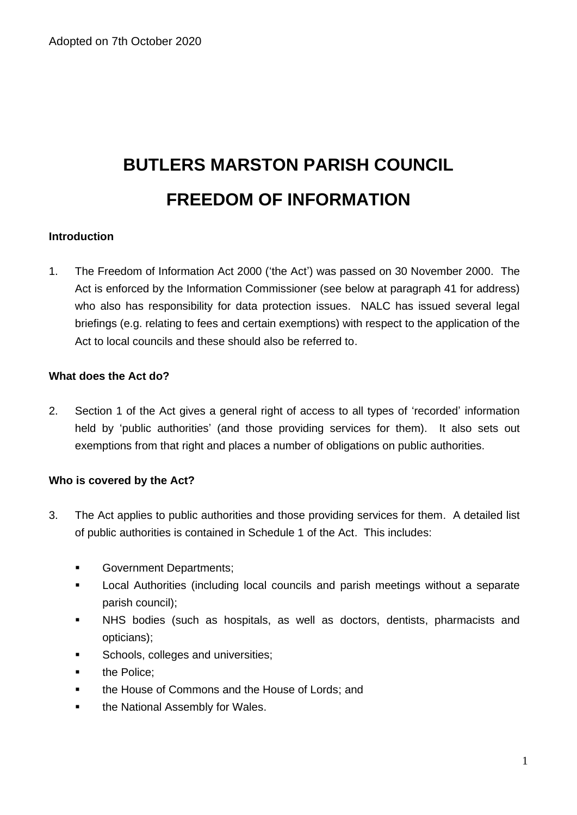# **BUTLERS MARSTON PARISH COUNCIL FREEDOM OF INFORMATION**

## **Introduction**

1. The Freedom of Information Act 2000 ('the Act') was passed on 30 November 2000. The Act is enforced by the Information Commissioner (see below at paragraph 41 for address) who also has responsibility for data protection issues. NALC has issued several legal briefings (e.g. relating to fees and certain exemptions) with respect to the application of the Act to local councils and these should also be referred to.

## **What does the Act do?**

2. Section 1 of the Act gives a general right of access to all types of 'recorded' information held by 'public authorities' (and those providing services for them). It also sets out exemptions from that right and places a number of obligations on public authorities.

#### **Who is covered by the Act?**

- 3. The Act applies to public authorities and those providing services for them. A detailed list of public authorities is contained in Schedule 1 of the Act. This includes:
	- **■** Government Departments;
	- Local Authorities (including local councils and parish meetings without a separate parish council);
	- NHS bodies (such as hospitals, as well as doctors, dentists, pharmacists and opticians);
	- Schools, colleges and universities;
	- the Police;
	- the House of Commons and the House of Lords; and
	- the National Assembly for Wales.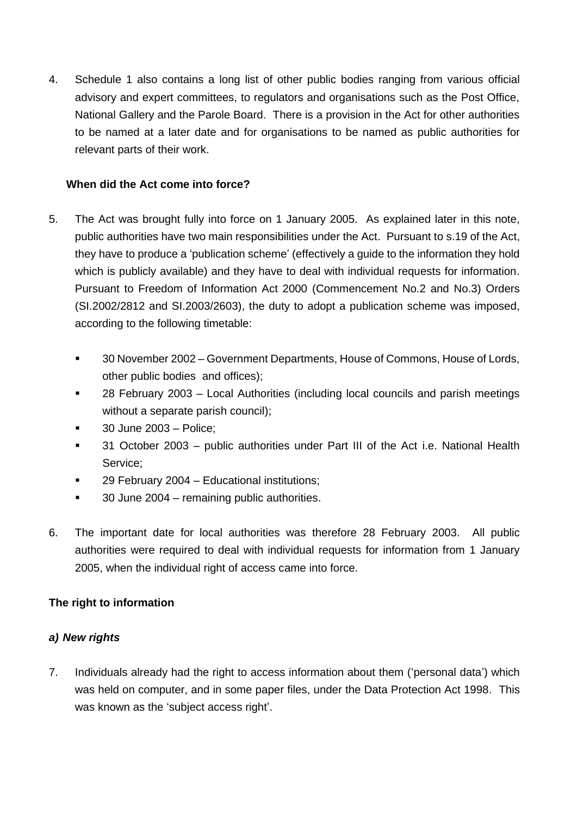4. Schedule 1 also contains a long list of other public bodies ranging from various official advisory and expert committees, to regulators and organisations such as the Post Office, National Gallery and the Parole Board. There is a provision in the Act for other authorities to be named at a later date and for organisations to be named as public authorities for relevant parts of their work.

## **When did the Act come into force?**

- 5. The Act was brought fully into force on 1 January 2005. As explained later in this note, public authorities have two main responsibilities under the Act. Pursuant to s.19 of the Act, they have to produce a 'publication scheme' (effectively a guide to the information they hold which is publicly available) and they have to deal with individual requests for information. Pursuant to Freedom of Information Act 2000 (Commencement No.2 and No.3) Orders (SI.2002/2812 and SI.2003/2603), the duty to adopt a publication scheme was imposed, according to the following timetable:
	- 30 November 2002 Government Departments, House of Commons, House of Lords, other public bodies and offices);
	- 28 February 2003 Local Authorities (including local councils and parish meetings without a separate parish council);
	- 30 June 2003 Police;
	- 31 October 2003 public authorities under Part III of the Act i.e. National Health Service;
	- 29 February 2004 Educational institutions;
	- 30 June 2004 remaining public authorities.
- 6. The important date for local authorities was therefore 28 February 2003. All public authorities were required to deal with individual requests for information from 1 January 2005, when the individual right of access came into force.

# **The right to information**

# *a) New rights*

7. Individuals already had the right to access information about them ('personal data') which was held on computer, and in some paper files, under the Data Protection Act 1998. This was known as the 'subject access right'.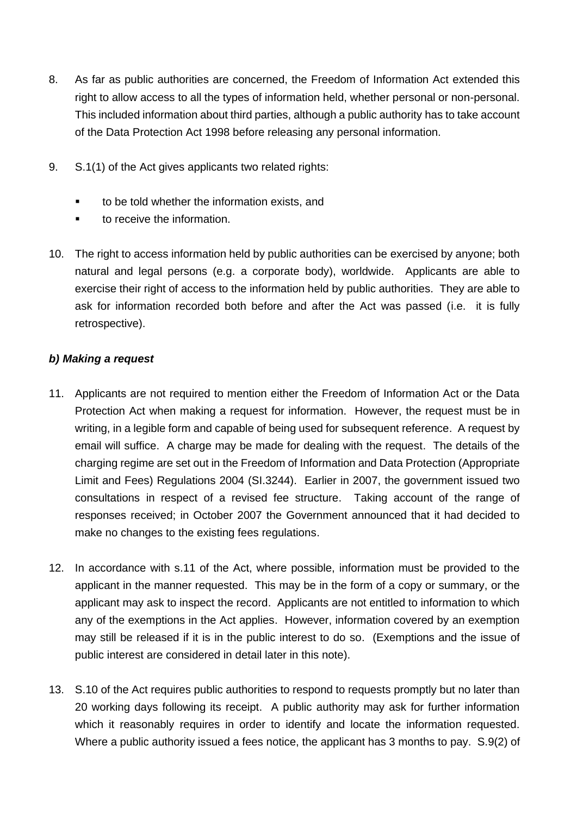- 8. As far as public authorities are concerned, the Freedom of Information Act extended this right to allow access to all the types of information held, whether personal or non-personal. This included information about third parties, although a public authority has to take account of the Data Protection Act 1998 before releasing any personal information.
- 9. S.1(1) of the Act gives applicants two related rights:
	- to be told whether the information exists, and
	- to receive the information
- 10. The right to access information held by public authorities can be exercised by anyone; both natural and legal persons (e.g. a corporate body), worldwide. Applicants are able to exercise their right of access to the information held by public authorities. They are able to ask for information recorded both before and after the Act was passed (i.e. it is fully retrospective).

# *b) Making a request*

- 11. Applicants are not required to mention either the Freedom of Information Act or the Data Protection Act when making a request for information. However, the request must be in writing, in a legible form and capable of being used for subsequent reference. A request by email will suffice. A charge may be made for dealing with the request. The details of the charging regime are set out in the Freedom of Information and Data Protection (Appropriate Limit and Fees) Regulations 2004 (SI.3244). Earlier in 2007, the government issued two consultations in respect of a revised fee structure. Taking account of the range of responses received; in October 2007 the Government announced that it had decided to make no changes to the existing fees regulations.
- 12. In accordance with s.11 of the Act, where possible, information must be provided to the applicant in the manner requested. This may be in the form of a copy or summary, or the applicant may ask to inspect the record. Applicants are not entitled to information to which any of the exemptions in the Act applies. However, information covered by an exemption may still be released if it is in the public interest to do so. (Exemptions and the issue of public interest are considered in detail later in this note).
- 13. S.10 of the Act requires public authorities to respond to requests promptly but no later than 20 working days following its receipt. A public authority may ask for further information which it reasonably requires in order to identify and locate the information requested. Where a public authority issued a fees notice, the applicant has 3 months to pay. S.9(2) of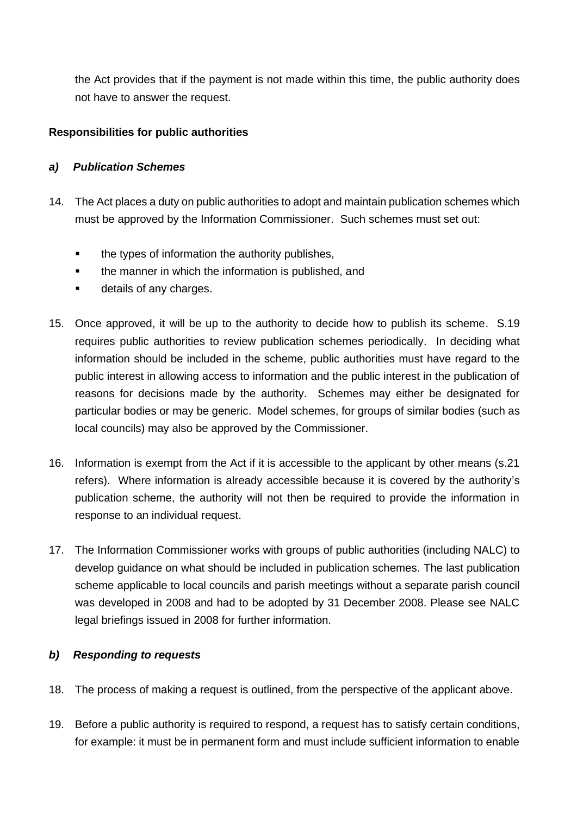the Act provides that if the payment is not made within this time, the public authority does not have to answer the request.

# **Responsibilities for public authorities**

## *a) Publication Schemes*

- 14. The Act places a duty on public authorities to adopt and maintain publication schemes which must be approved by the Information Commissioner. Such schemes must set out:
	- the types of information the authority publishes,
	- the manner in which the information is published, and
	- details of any charges.
- 15. Once approved, it will be up to the authority to decide how to publish its scheme. S.19 requires public authorities to review publication schemes periodically. In deciding what information should be included in the scheme, public authorities must have regard to the public interest in allowing access to information and the public interest in the publication of reasons for decisions made by the authority. Schemes may either be designated for particular bodies or may be generic. Model schemes, for groups of similar bodies (such as local councils) may also be approved by the Commissioner.
- 16. Information is exempt from the Act if it is accessible to the applicant by other means (s.21 refers). Where information is already accessible because it is covered by the authority's publication scheme, the authority will not then be required to provide the information in response to an individual request.
- 17. The Information Commissioner works with groups of public authorities (including NALC) to develop guidance on what should be included in publication schemes. The last publication scheme applicable to local councils and parish meetings without a separate parish council was developed in 2008 and had to be adopted by 31 December 2008. Please see NALC legal briefings issued in 2008 for further information.

# *b) Responding to requests*

- 18. The process of making a request is outlined, from the perspective of the applicant above.
- 19. Before a public authority is required to respond, a request has to satisfy certain conditions, for example: it must be in permanent form and must include sufficient information to enable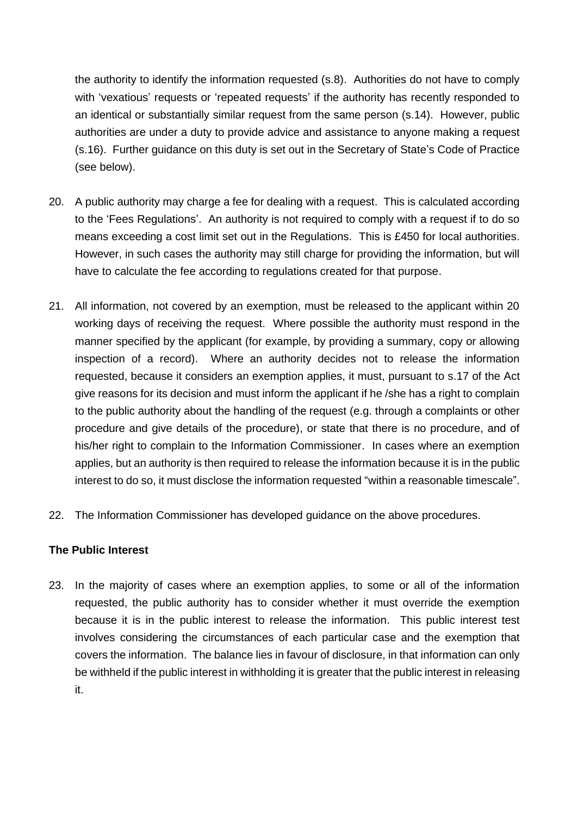the authority to identify the information requested (s.8). Authorities do not have to comply with 'vexatious' requests or 'repeated requests' if the authority has recently responded to an identical or substantially similar request from the same person (s.14). However, public authorities are under a duty to provide advice and assistance to anyone making a request (s.16). Further guidance on this duty is set out in the Secretary of State's Code of Practice (see below).

- 20. A public authority may charge a fee for dealing with a request. This is calculated according to the 'Fees Regulations'. An authority is not required to comply with a request if to do so means exceeding a cost limit set out in the Regulations. This is £450 for local authorities. However, in such cases the authority may still charge for providing the information, but will have to calculate the fee according to regulations created for that purpose.
- 21. All information, not covered by an exemption, must be released to the applicant within 20 working days of receiving the request. Where possible the authority must respond in the manner specified by the applicant (for example, by providing a summary, copy or allowing inspection of a record). Where an authority decides not to release the information requested, because it considers an exemption applies, it must, pursuant to s.17 of the Act give reasons for its decision and must inform the applicant if he /she has a right to complain to the public authority about the handling of the request (e.g. through a complaints or other procedure and give details of the procedure), or state that there is no procedure, and of his/her right to complain to the Information Commissioner. In cases where an exemption applies, but an authority is then required to release the information because it is in the public interest to do so, it must disclose the information requested "within a reasonable timescale".
- 22. The Information Commissioner has developed guidance on the above procedures.

#### **The Public Interest**

23. In the majority of cases where an exemption applies, to some or all of the information requested, the public authority has to consider whether it must override the exemption because it is in the public interest to release the information. This public interest test involves considering the circumstances of each particular case and the exemption that covers the information. The balance lies in favour of disclosure, in that information can only be withheld if the public interest in withholding it is greater that the public interest in releasing it.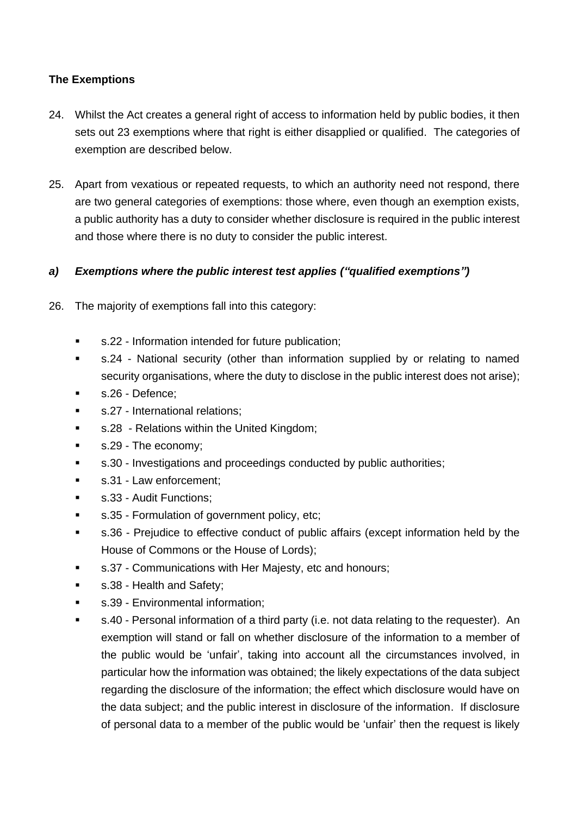# **The Exemptions**

- 24. Whilst the Act creates a general right of access to information held by public bodies, it then sets out 23 exemptions where that right is either disapplied or qualified. The categories of exemption are described below.
- 25. Apart from vexatious or repeated requests, to which an authority need not respond, there are two general categories of exemptions: those where, even though an exemption exists, a public authority has a duty to consider whether disclosure is required in the public interest and those where there is no duty to consider the public interest.

## *a) Exemptions where the public interest test applies ("qualified exemptions")*

- 26. The majority of exemptions fall into this category:
	- s.22 Information intended for future publication;
	- s.24 National security (other than information supplied by or relating to named security organisations, where the duty to disclose in the public interest does not arise);
	- **■** s.26 Defence:
	- **■** s.27 International relations;
	- s.28 Relations within the United Kingdom;
	- s.29 The economy;
	- s.30 Investigations and proceedings conducted by public authorities;
	- s.31 Law enforcement;
	- s.33 Audit Functions;
	- s.35 Formulation of government policy, etc;
	- s.36 Prejudice to effective conduct of public affairs (except information held by the House of Commons or the House of Lords);
	- s.37 Communications with Her Majesty, etc and honours;
	- s.38 Health and Safety;
	- s.39 Environmental information;
	- s.40 Personal information of a third party (i.e. not data relating to the requester). An exemption will stand or fall on whether disclosure of the information to a member of the public would be 'unfair', taking into account all the circumstances involved, in particular how the information was obtained; the likely expectations of the data subject regarding the disclosure of the information; the effect which disclosure would have on the data subject; and the public interest in disclosure of the information. If disclosure of personal data to a member of the public would be 'unfair' then the request is likely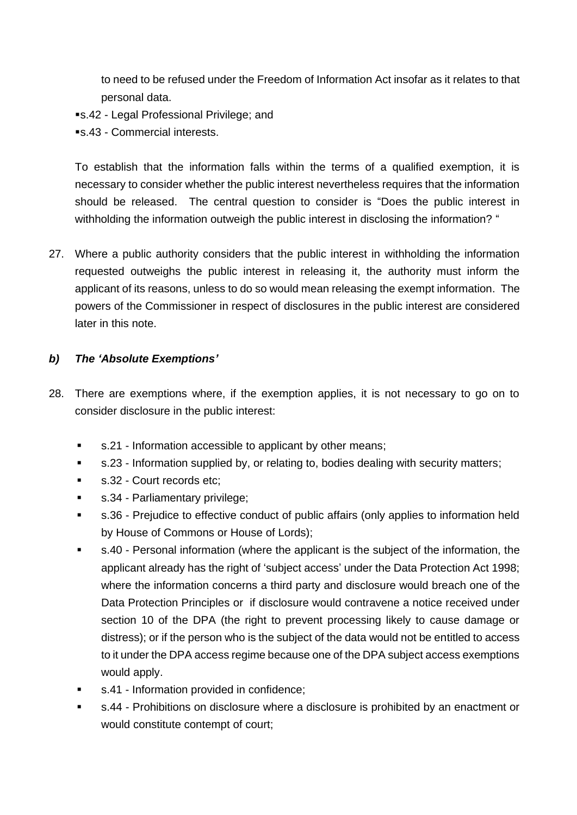to need to be refused under the Freedom of Information Act insofar as it relates to that personal data.

- ▪s.42 Legal Professional Privilege; and
- ■s.43 Commercial interests.

To establish that the information falls within the terms of a qualified exemption, it is necessary to consider whether the public interest nevertheless requires that the information should be released. The central question to consider is "Does the public interest in withholding the information outweigh the public interest in disclosing the information? "

27. Where a public authority considers that the public interest in withholding the information requested outweighs the public interest in releasing it, the authority must inform the applicant of its reasons, unless to do so would mean releasing the exempt information. The powers of the Commissioner in respect of disclosures in the public interest are considered later in this note.

## *b) The 'Absolute Exemptions'*

- 28. There are exemptions where, if the exemption applies, it is not necessary to go on to consider disclosure in the public interest:
	- s.21 Information accessible to applicant by other means;
	- s.23 Information supplied by, or relating to, bodies dealing with security matters;
	- s.32 Court records etc;
	- s.34 Parliamentary privilege;
	- s.36 Prejudice to effective conduct of public affairs (only applies to information held by House of Commons or House of Lords);
	- s.40 Personal information (where the applicant is the subject of the information, the applicant already has the right of 'subject access' under the Data Protection Act 1998; where the information concerns a third party and disclosure would breach one of the Data Protection Principles or if disclosure would contravene a notice received under section 10 of the DPA (the right to prevent processing likely to cause damage or distress); or if the person who is the subject of the data would not be entitled to access to it under the DPA access regime because one of the DPA subject access exemptions would apply.
	- s.41 Information provided in confidence;
	- s.44 Prohibitions on disclosure where a disclosure is prohibited by an enactment or would constitute contempt of court;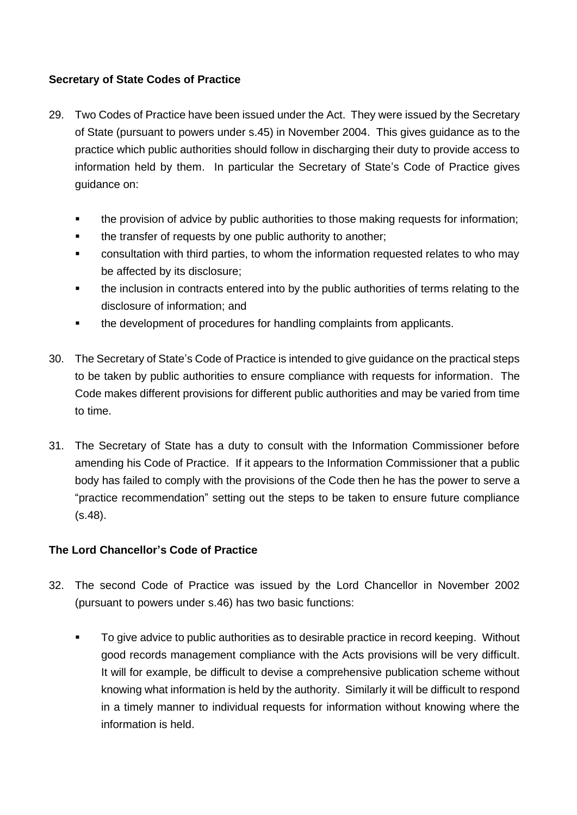# **Secretary of State Codes of Practice**

- 29. Two Codes of Practice have been issued under the Act. They were issued by the Secretary of State (pursuant to powers under s.45) in November 2004. This gives guidance as to the practice which public authorities should follow in discharging their duty to provide access to information held by them. In particular the Secretary of State's Code of Practice gives guidance on:
	- the provision of advice by public authorities to those making requests for information;
	- the transfer of requests by one public authority to another;
	- consultation with third parties, to whom the information requested relates to who may be affected by its disclosure;
	- the inclusion in contracts entered into by the public authorities of terms relating to the disclosure of information; and
	- the development of procedures for handling complaints from applicants.
- 30. The Secretary of State's Code of Practice is intended to give guidance on the practical steps to be taken by public authorities to ensure compliance with requests for information. The Code makes different provisions for different public authorities and may be varied from time to time.
- 31. The Secretary of State has a duty to consult with the Information Commissioner before amending his Code of Practice. If it appears to the Information Commissioner that a public body has failed to comply with the provisions of the Code then he has the power to serve a "practice recommendation" setting out the steps to be taken to ensure future compliance (s.48).

# **The Lord Chancellor's Code of Practice**

- 32. The second Code of Practice was issued by the Lord Chancellor in November 2002 (pursuant to powers under s.46) has two basic functions:
	- To give advice to public authorities as to desirable practice in record keeping. Without good records management compliance with the Acts provisions will be very difficult. It will for example, be difficult to devise a comprehensive publication scheme without knowing what information is held by the authority. Similarly it will be difficult to respond in a timely manner to individual requests for information without knowing where the information is held.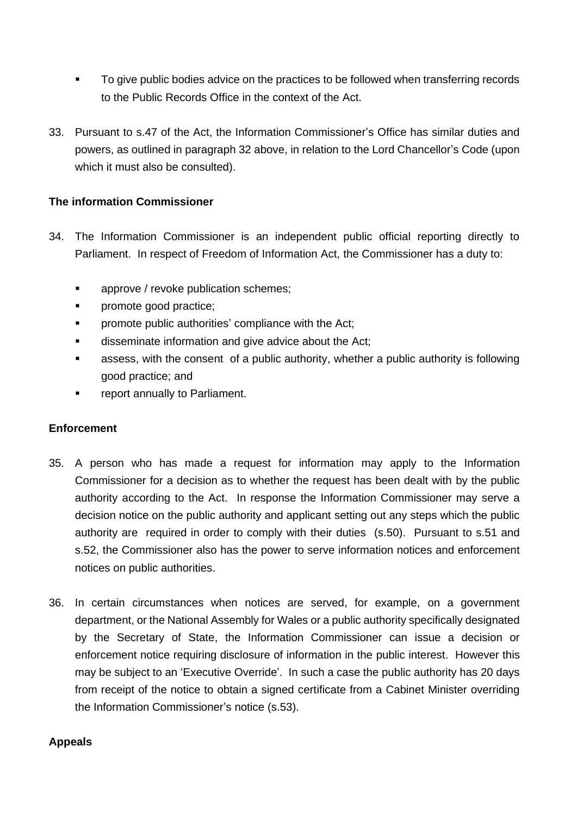- To give public bodies advice on the practices to be followed when transferring records to the Public Records Office in the context of the Act.
- 33. Pursuant to s.47 of the Act, the Information Commissioner's Office has similar duties and powers, as outlined in paragraph 32 above, in relation to the Lord Chancellor's Code (upon which it must also be consulted).

## **The information Commissioner**

- 34. The Information Commissioner is an independent public official reporting directly to Parliament. In respect of Freedom of Information Act, the Commissioner has a duty to:
	- approve / revoke publication schemes;
	- promote good practice:
	- promote public authorities' compliance with the Act:
	- **■** disseminate information and give advice about the Act;
	- assess, with the consent of a public authority, whether a public authority is following good practice; and
	- **•** report annually to Parliament.

#### **Enforcement**

- 35. A person who has made a request for information may apply to the Information Commissioner for a decision as to whether the request has been dealt with by the public authority according to the Act. In response the Information Commissioner may serve a decision notice on the public authority and applicant setting out any steps which the public authority are required in order to comply with their duties (s.50). Pursuant to s.51 and s.52, the Commissioner also has the power to serve information notices and enforcement notices on public authorities.
- 36. In certain circumstances when notices are served, for example, on a government department, or the National Assembly for Wales or a public authority specifically designated by the Secretary of State, the Information Commissioner can issue a decision or enforcement notice requiring disclosure of information in the public interest. However this may be subject to an 'Executive Override'. In such a case the public authority has 20 days from receipt of the notice to obtain a signed certificate from a Cabinet Minister overriding the Information Commissioner's notice (s.53).

#### **Appeals**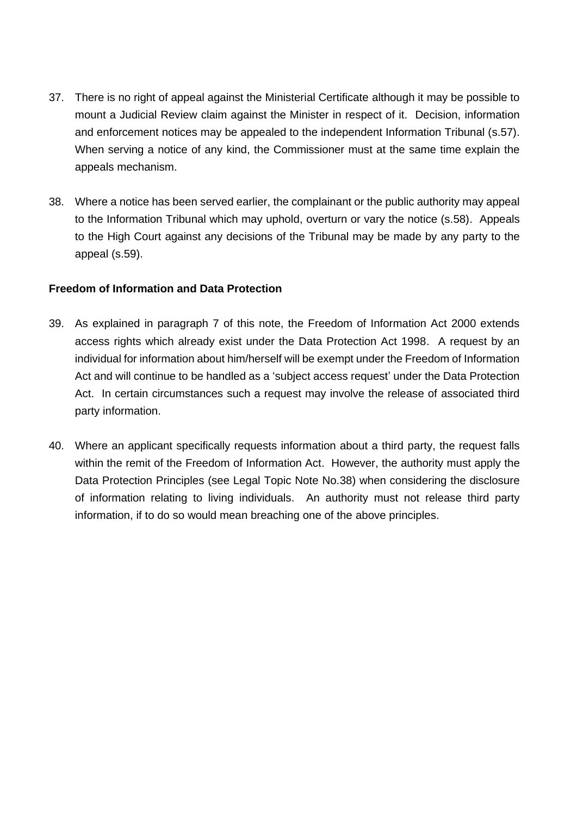- 37. There is no right of appeal against the Ministerial Certificate although it may be possible to mount a Judicial Review claim against the Minister in respect of it. Decision, information and enforcement notices may be appealed to the independent Information Tribunal (s.57). When serving a notice of any kind, the Commissioner must at the same time explain the appeals mechanism.
- 38. Where a notice has been served earlier, the complainant or the public authority may appeal to the Information Tribunal which may uphold, overturn or vary the notice (s.58). Appeals to the High Court against any decisions of the Tribunal may be made by any party to the appeal (s.59).

#### **Freedom of Information and Data Protection**

- 39. As explained in paragraph 7 of this note, the Freedom of Information Act 2000 extends access rights which already exist under the Data Protection Act 1998. A request by an individual for information about him/herself will be exempt under the Freedom of Information Act and will continue to be handled as a 'subject access request' under the Data Protection Act. In certain circumstances such a request may involve the release of associated third party information.
- 40. Where an applicant specifically requests information about a third party, the request falls within the remit of the Freedom of Information Act. However, the authority must apply the Data Protection Principles (see Legal Topic Note No.38) when considering the disclosure of information relating to living individuals. An authority must not release third party information, if to do so would mean breaching one of the above principles.